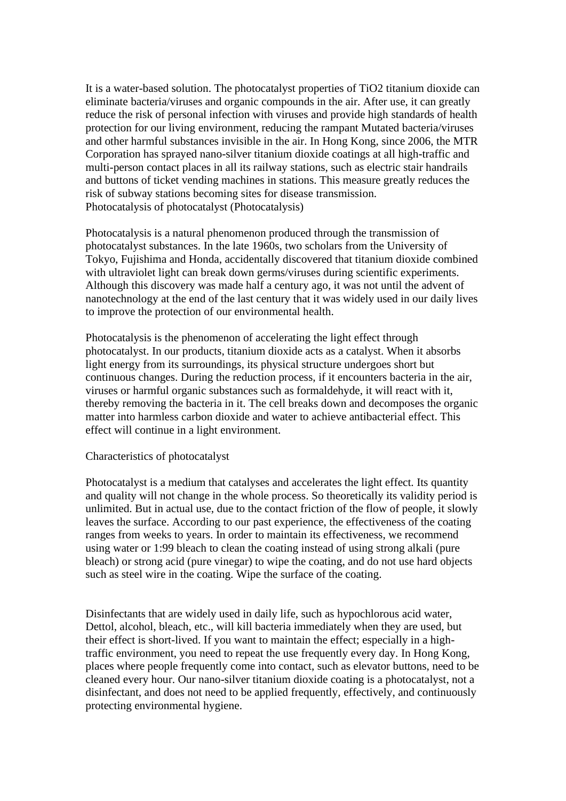It is a water-based solution. The photocatalyst properties of TiO2 titanium dioxide can eliminate bacteria/viruses and organic compounds in the air. After use, it can greatly reduce the risk of personal infection with viruses and provide high standards of health protection for our living environment, reducing the rampant Mutated bacteria/viruses and other harmful substances invisible in the air. In Hong Kong, since 2006, the MTR Corporation has sprayed nano-silver titanium dioxide coatings at all high-traffic and multi-person contact places in all its railway stations, such as electric stair handrails and buttons of ticket vending machines in stations. This measure greatly reduces the risk of subway stations becoming sites for disease transmission. Photocatalysis of photocatalyst (Photocatalysis)

Photocatalysis is a natural phenomenon produced through the transmission of photocatalyst substances. In the late 1960s, two scholars from the University of Tokyo, Fujishima and Honda, accidentally discovered that titanium dioxide combined with ultraviolet light can break down germs/viruses during scientific experiments. Although this discovery was made half a century ago, it was not until the advent of nanotechnology at the end of the last century that it was widely used in our daily lives to improve the protection of our environmental health.

Photocatalysis is the phenomenon of accelerating the light effect through photocatalyst. In our products, titanium dioxide acts as a catalyst. When it absorbs light energy from its surroundings, its physical structure undergoes short but continuous changes. During the reduction process, if it encounters bacteria in the air, viruses or harmful organic substances such as formaldehyde, it will react with it, thereby removing the bacteria in it. The cell breaks down and decomposes the organic matter into harmless carbon dioxide and water to achieve antibacterial effect. This effect will continue in a light environment.

## Characteristics of photocatalyst

Photocatalyst is a medium that catalyses and accelerates the light effect. Its quantity and quality will not change in the whole process. So theoretically its validity period is unlimited. But in actual use, due to the contact friction of the flow of people, it slowly leaves the surface. According to our past experience, the effectiveness of the coating ranges from weeks to years. In order to maintain its effectiveness, we recommend using water or 1:99 bleach to clean the coating instead of using strong alkali (pure bleach) or strong acid (pure vinegar) to wipe the coating, and do not use hard objects such as steel wire in the coating. Wipe the surface of the coating.

Disinfectants that are widely used in daily life, such as hypochlorous acid water, Dettol, alcohol, bleach, etc., will kill bacteria immediately when they are used, but their effect is short-lived. If you want to maintain the effect; especially in a hightraffic environment, you need to repeat the use frequently every day. In Hong Kong, places where people frequently come into contact, such as elevator buttons, need to be cleaned every hour. Our nano-silver titanium dioxide coating is a photocatalyst, not a disinfectant, and does not need to be applied frequently, effectively, and continuously protecting environmental hygiene.